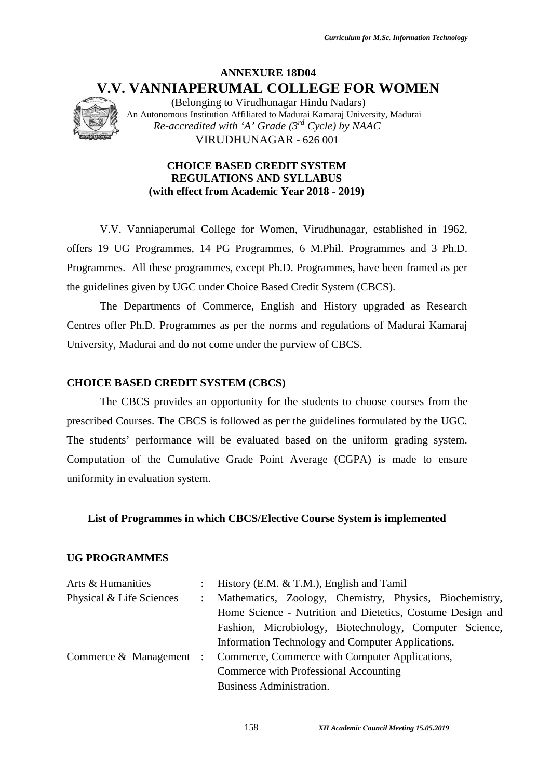# **ANNEXURE 18D04 V.V. VANNIAPERUMAL COLLEGE FOR WOMEN**

## **CHOICE BASED CREDIT SYSTEM REGULATIONS AND SYLLABUS (with effect from Academic Year 2018 - 2019)**

## **CHOICE BASED CREDIT SYSTEM (CBCS)**

#### **UG PROGRAMMES**

|                                               | <b>Curriculum for M.Sc. Information Technology</b>                                                                                                                                                                                                                                                             |  |
|-----------------------------------------------|----------------------------------------------------------------------------------------------------------------------------------------------------------------------------------------------------------------------------------------------------------------------------------------------------------------|--|
|                                               | <b>ANNEXURE 18D04</b><br>V.V. VANNIAPERUMAL COLLEGE FOR WOMEN<br>(Belonging to Virudhunagar Hindu Nadars)<br>An Autonomous Institution Affiliated to Madurai Kamaraj University, Madurai<br>Re-accredited with 'A' Grade $(3^{rd}$ Cycle) by NAAC<br>VIRUDHUNAGAR - 626 001                                    |  |
|                                               | <b>CHOICE BASED CREDIT SYSTEM</b><br><b>REGULATIONS AND SYLLABUS</b><br>(with effect from Academic Year 2018 - 2019)                                                                                                                                                                                           |  |
|                                               | V.V. Vanniaperumal College for Women, Virudhunagar, established in 1962,                                                                                                                                                                                                                                       |  |
|                                               | offers 19 UG Programmes, 14 PG Programmes, 6 M.Phil. Programmes and 3 Ph.D.                                                                                                                                                                                                                                    |  |
|                                               | Programmes. All these programmes, except Ph.D. Programmes, have been framed as per                                                                                                                                                                                                                             |  |
|                                               | the guidelines given by UGC under Choice Based Credit System (CBCS).                                                                                                                                                                                                                                           |  |
|                                               | The Departments of Commerce, English and History upgraded as Research                                                                                                                                                                                                                                          |  |
|                                               | Centres offer Ph.D. Programmes as per the norms and regulations of Madurai Kamaraj                                                                                                                                                                                                                             |  |
|                                               | University, Madurai and do not come under the purview of CBCS.                                                                                                                                                                                                                                                 |  |
| <b>CHOICE BASED CREDIT SYSTEM (CBCS)</b>      |                                                                                                                                                                                                                                                                                                                |  |
|                                               | The CBCS provides an opportunity for the students to choose courses from the                                                                                                                                                                                                                                   |  |
|                                               | prescribed Courses. The CBCS is followed as per the guidelines formulated by the UGC.                                                                                                                                                                                                                          |  |
|                                               | The students' performance will be evaluated based on the uniform grading system.                                                                                                                                                                                                                               |  |
|                                               | Computation of the Cumulative Grade Point Average (CGPA) is made to ensure                                                                                                                                                                                                                                     |  |
| uniformity in evaluation system.              |                                                                                                                                                                                                                                                                                                                |  |
|                                               | List of Programmes in which CBCS/Elective Course System is implemented                                                                                                                                                                                                                                         |  |
| <b>UG PROGRAMMES</b>                          |                                                                                                                                                                                                                                                                                                                |  |
| Arts & Humanities<br>Physical & Life Sciences | History (E.M. & T.M.), English and Tamil<br>÷<br>Mathematics, Zoology, Chemistry, Physics, Biochemistry,<br>$\ddot{\phantom{a}}$<br>Home Science - Nutrition and Dietetics, Costume Design and<br>Fashion, Microbiology, Biotechnology, Computer Science,<br>Information Technology and Computer Applications. |  |
| Commerce & Management                         | Commerce, Commerce with Computer Applications,<br>$\ddot{\phantom{a}}$<br>Commerce with Professional Accounting<br><b>Business Administration.</b>                                                                                                                                                             |  |
|                                               | 158<br>XII Academic Council Meeting 15.05.2019                                                                                                                                                                                                                                                                 |  |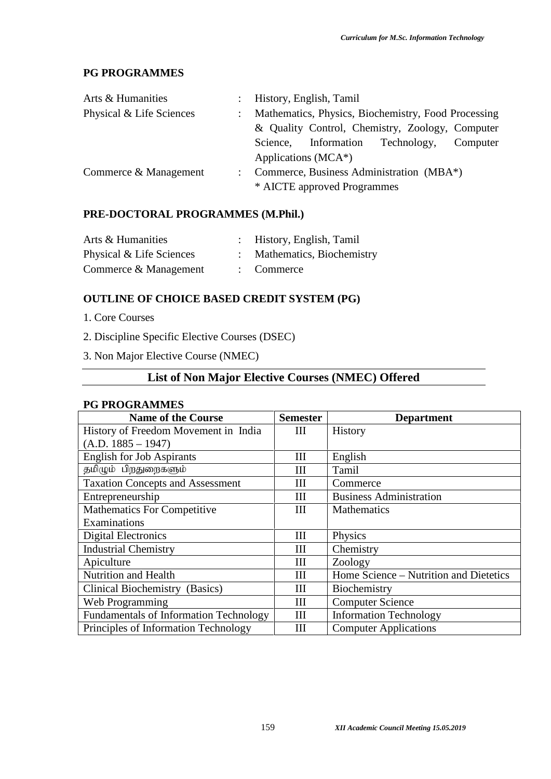# **PG PROGRAMMES**

| Arts & Humanities        |               | : History, English, Tamil                           |
|--------------------------|---------------|-----------------------------------------------------|
| Physical & Life Sciences | $\mathcal{L}$ | Mathematics, Physics, Biochemistry, Food Processing |
|                          |               | & Quality Control, Chemistry, Zoology, Computer     |
|                          |               | Information Technology,<br>Computer<br>Science,     |
|                          |               | Applications ( $MCA^*$ )                            |
| Commerce & Management    |               | Commerce, Business Administration (MBA*)            |
|                          |               | * AICTE approved Programmes                         |

## **PRE-DOCTORAL PROGRAMMES (M.Phil.)**

| Arts & Humanities        | : History, English, Tamil |
|--------------------------|---------------------------|
| Physical & Life Sciences | Mathematics, Biochemistry |
| Commerce & Management    | $:$ Commerce              |

# **OUTLINE OF CHOICE BASED CREDIT SYSTEM (PG)**

- 1. Core Courses
- 2. Discipline Specific Elective Courses (DSEC)
- 3. Non Major Elective Course (NMEC)

# **List of Non Major Elective Courses (NMEC) Offered**

#### **PG PROGRAMMES**

| <b>Name of the Course</b>                     | <b>Semester</b> | <b>Department</b>                      |
|-----------------------------------------------|-----------------|----------------------------------------|
| History of Freedom Movement in India          | Ш               | <b>History</b>                         |
| $(A.D. 1885 - 1947)$                          |                 |                                        |
| <b>English for Job Aspirants</b>              | Ш               | English                                |
| தமிழும் பிறதுறைகளும்                          | Ш               | Tamil                                  |
| <b>Taxation Concepts and Assessment</b>       | Ш               | Commerce                               |
| Entrepreneurship                              | Ш               | <b>Business Administration</b>         |
| <b>Mathematics For Competitive</b>            | Ш               | <b>Mathematics</b>                     |
| Examinations                                  |                 |                                        |
| Digital Electronics                           | Ш               | Physics                                |
| <b>Industrial Chemistry</b>                   | Ш               | Chemistry                              |
| Apiculture                                    | Ш               | Zoology                                |
| <b>Nutrition and Health</b>                   | Ш               | Home Science – Nutrition and Dietetics |
| Clinical Biochemistry (Basics)                | Ш               | Biochemistry                           |
| Web Programming                               | Ш               | <b>Computer Science</b>                |
| <b>Fundamentals of Information Technology</b> | III             | <b>Information Technology</b>          |
| Principles of Information Technology          | Ш               | <b>Computer Applications</b>           |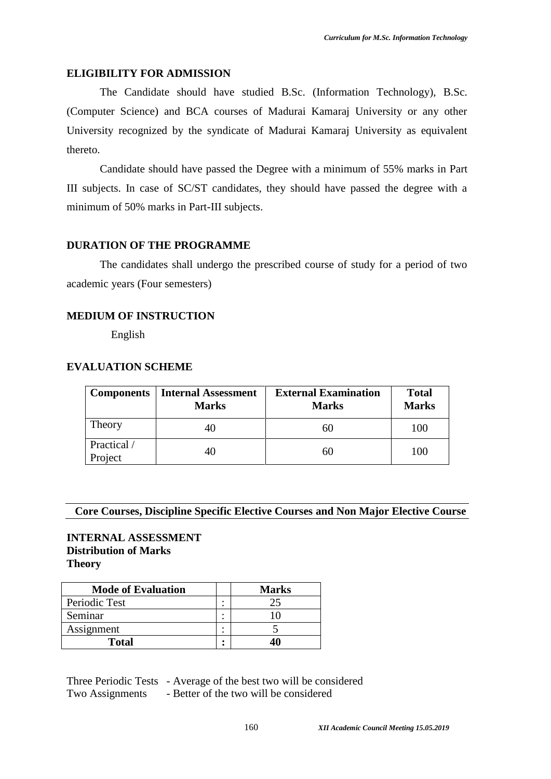#### **ELIGIBILITY FOR ADMISSION**

The Candidate should have studied B.Sc. (Information Technology), B.Sc. (Computer Science) and BCA courses of Madurai Kamaraj University or any other University recognized by the syndicate of Madurai Kamaraj University as equivalent thereto.<br>Candidate should have passed the Degree with a minimum of 55% marks in Part

III subjects. In case of SC/ST candidates, they should have passed the degree with a minimum of 50% marks in Part-III subjects.

#### **DURATION OF THE PROGRAMME**

The candidates shall undergo the prescribed course of study for a period of two academic years (Four semesters)

#### **MEDIUM OF INSTRUCTION**

English

#### **EVALUATION SCHEME**

| <b>Components</b>      | <b>Internal Assessment</b><br><b>Marks</b> | <b>External Examination</b><br><b>Marks</b> | <b>Total</b><br><b>Marks</b> |
|------------------------|--------------------------------------------|---------------------------------------------|------------------------------|
| Theory                 | 40                                         | 60                                          | 100                          |
| Practical /<br>Project | 40                                         | 60                                          | 100                          |

# **Core Courses, Discipline Specific Elective Courses and Non Major Elective Course**

#### **INTERNAL ASSESSMENT Distribution of Marks Theory**

| <b>Mode of Evaluation</b> |        | <b>Marks</b> |
|---------------------------|--------|--------------|
| Periodic Test             | ٠      |              |
| Seminar                   | ٠<br>٠ |              |
| Assignment                | ٠      |              |
| <b>Total</b>              | ٠      |              |

Three Periodic Tests - Average of the best two will be considered Two Assignments - Better of the two will be considered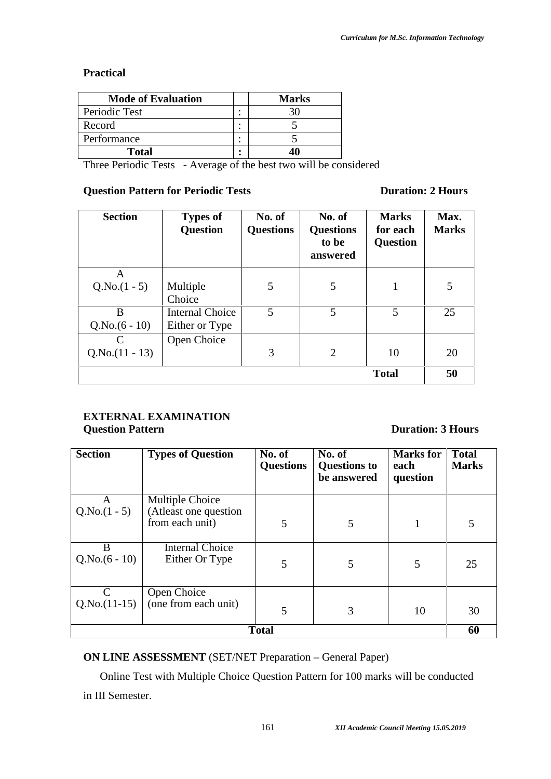## **Practical**

| <b>Mode of Evaluation</b> |   | <b>Marks</b> |
|---------------------------|---|--------------|
| Periodic Test             |   |              |
| Record                    | ٠ |              |
| Performance               |   |              |
| Total                     |   |              |

Three Periodic Tests - Average of the best two will be considered

# **Question Pattern for Periodic Tests Duration: 2 Hours**

| <b>Section</b>   | <b>Types of</b><br><b>Question</b> | No. of<br><b>Questions</b> | No. of<br><b>Questions</b><br>to be<br>answered | <b>Marks</b><br>for each<br><b>Question</b> | Max.<br><b>Marks</b> |
|------------------|------------------------------------|----------------------------|-------------------------------------------------|---------------------------------------------|----------------------|
| A                |                                    |                            |                                                 |                                             |                      |
| $Q.No.(1 - 5)$   | Multiple                           | 5                          | 5                                               |                                             | 5                    |
|                  | Choice                             |                            |                                                 |                                             |                      |
| B                | <b>Internal Choice</b>             | 5                          | 5                                               | 5                                           | 25                   |
| $Q.No.(6-10)$    | Either or Type                     |                            |                                                 |                                             |                      |
| C                | Open Choice                        |                            |                                                 |                                             |                      |
| $Q.No.(11 - 13)$ |                                    | 3                          | $\overline{2}$                                  | 10                                          | 20                   |
|                  |                                    |                            |                                                 | <b>Total</b>                                | 50                   |

# **EXTERNAL EXAMINATION Question Pattern Duration: 3 Hours**

| <b>Section</b>     | <b>Types of Question</b>                 | No. of<br><b>Questions</b> | No. of<br><b>Questions to</b><br>be answered | <b>Marks</b> for<br>each<br>question | <b>Total</b><br><b>Marks</b> |
|--------------------|------------------------------------------|----------------------------|----------------------------------------------|--------------------------------------|------------------------------|
| A                  | Multiple Choice                          |                            |                                              |                                      |                              |
| $Q.No.(1 - 5)$     | (Atleast one question<br>from each unit) | 5                          | 5                                            |                                      | 5                            |
| B<br>$Q.No.(6-10)$ | <b>Internal Choice</b><br>Either Or Type | 5                          | 5                                            | 5                                    | 25                           |
| $Q.No.(11-15)$     | Open Choice<br>(one from each unit)      | 5                          | 3                                            | 10                                   | 30                           |
|                    |                                          | <b>Total</b>               |                                              |                                      | 60                           |

**ON LINE ASSESSMENT** (SET/NET Preparation – General Paper)

Online Test with Multiple Choice Question Pattern for 100 marks will be conducted in III Semester.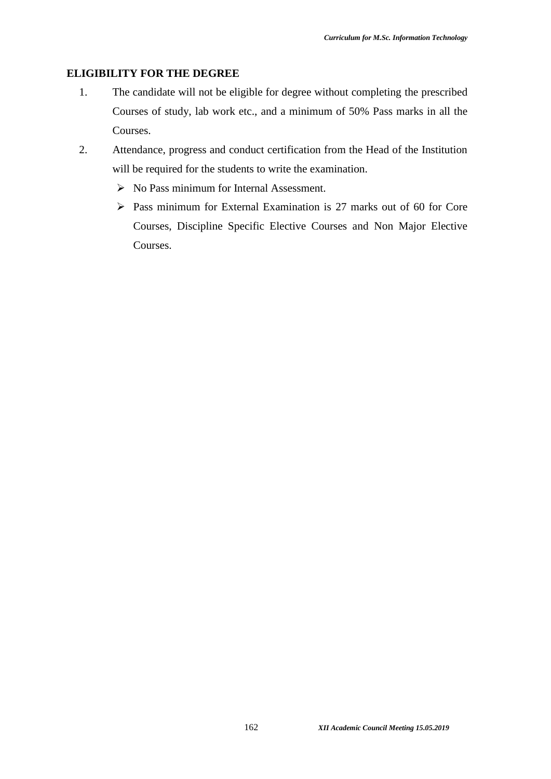#### **ELIGIBILITY FOR THE DEGREE**

- 1. The candidate will not be eligible for degree without completing the prescribed Courses of study, lab work etc., and a minimum of 50% Pass marks in all the Courses.
- 2. Attendance, progress and conduct certification from the Head of the Institution will be required for the students to write the examination.
	- $\triangleright$  No Pass minimum for Internal Assessment.
	- $\triangleright$  Pass minimum for External Examination is 27 marks out of 60 for Core Courses, Discipline Specific Elective Courses and Non Major Elective Courses.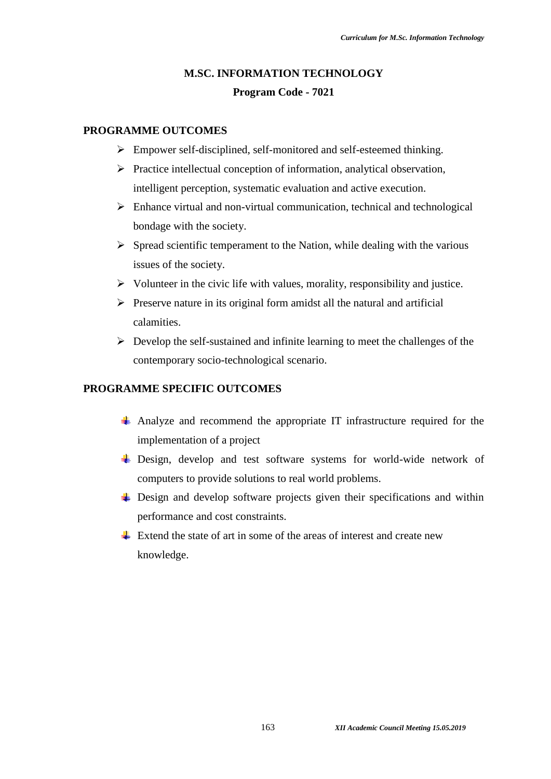# **M.SC. INFORMATION TECHNOLOGY Program Code - 7021**

## **PROGRAMME OUTCOMES**

- Empower self-disciplined, self-monitored and self-esteemed thinking.
- $\triangleright$  Practice intellectual conception of information, analytical observation, intelligent perception, systematic evaluation and active execution.
- $\triangleright$  Enhance virtual and non-virtual communication, technical and technological bondage with the society.
- $\triangleright$  Spread scientific temperament to the Nation, while dealing with the various issues of the society.
- $\triangleright$  Volunteer in the civic life with values, morality, responsibility and justice.
- $\triangleright$  Preserve nature in its original form amidst all the natural and artificial calamities.
- $\triangleright$  Develop the self-sustained and infinite learning to meet the challenges of the contemporary socio-technological scenario.

## **PROGRAMME SPECIFIC OUTCOMES**

- Analyze and recommend the appropriate IT infrastructure required for the implementation of a project
- $\overline{\text{+}}$  Design, develop and test software systems for world-wide network of computers to provide solutions to real world problems.
- $\overline{\phantom{a}}$  Design and develop software projects given their specifications and within performance and cost constraints.
- $\pm$  Extend the state of art in some of the areas of interest and create new knowledge.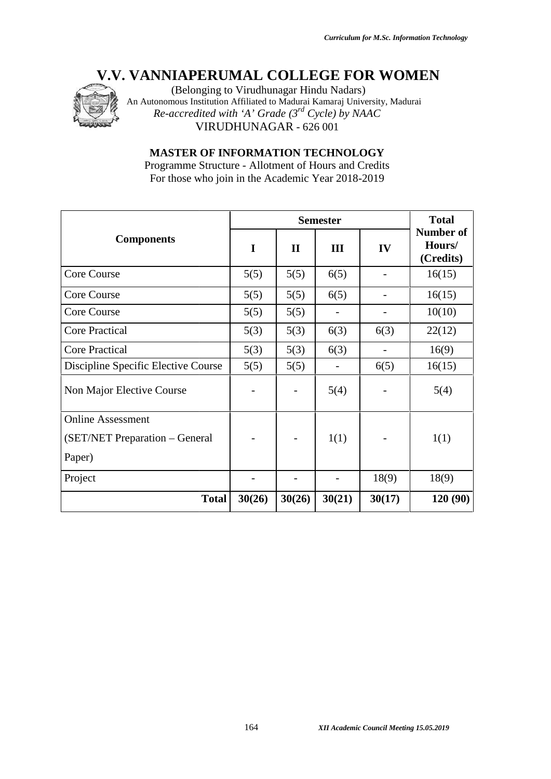

| <b>Components</b>                   |                |                          | <b>Semester</b>          |                | <b>Total</b><br><b>Number of</b> |
|-------------------------------------|----------------|--------------------------|--------------------------|----------------|----------------------------------|
|                                     | $\mathbf I$    | $\mathbf{I}$             | III                      | IV             | Hours/<br>(Credits)              |
| <b>Core Course</b>                  | 5(5)           | 5(5)                     | 6(5)                     |                | 16(15)                           |
| <b>Core Course</b>                  | 5(5)           | 5(5)                     | 6(5)                     | $\overline{a}$ | 16(15)                           |
| Core Course                         | 5(5)           | 5(5)                     | $\overline{\phantom{a}}$ |                | 10(10)                           |
| <b>Core Practical</b>               | 5(3)           | 5(3)                     | 6(3)                     | 6(3)           | 22(12)                           |
| <b>Core Practical</b>               | 5(3)           | 5(3)                     | 6(3)                     | $\overline{a}$ | 16(9)                            |
| Discipline Specific Elective Course | 5(5)           | 5(5)                     | $\overline{a}$           | 6(5)           | 16(15)                           |
| Non Major Elective Course           |                |                          | 5(4)                     |                | 5(4)                             |
| <b>Online Assessment</b>            |                |                          |                          |                |                                  |
| (SET/NET Preparation – General      |                |                          | 1(1)                     |                | 1(1)                             |
| Paper)                              |                |                          |                          |                |                                  |
| Project                             | $\overline{a}$ | $\overline{\phantom{0}}$ | $\overline{a}$           | 18(9)          | 18(9)                            |
| <b>Total</b>                        | 30(26)         | 30(26)                   | 30(21)                   | 30(17)         | 120 (90)                         |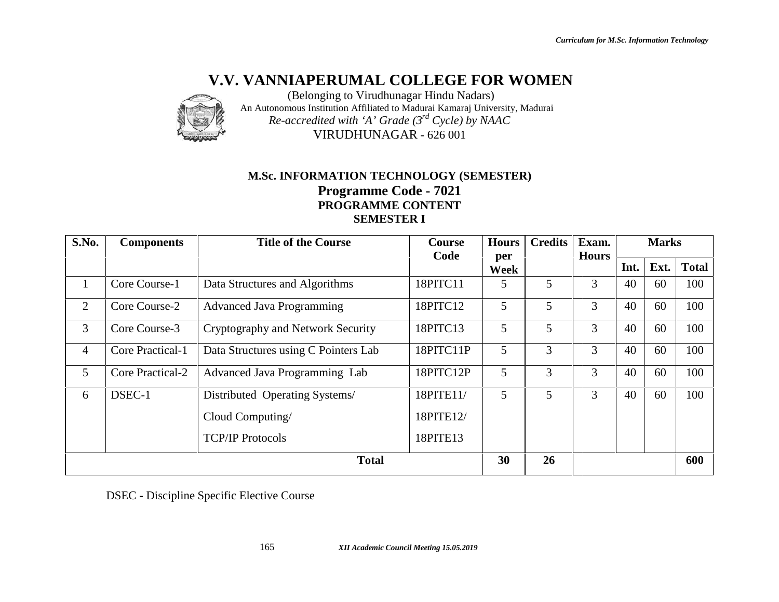

# **M.Sc. INFORMATION TECHNOLOGY (SEMESTER) Programme Code - 7021 PROGRAMME CONTENT SEMESTER I**

|                |                   | M.Sc. INFORMATION TECHNOLOGY (SEMESTER)<br>Programme Code - 7021<br>PROGRAMME CONTENT<br><b>SEMESTER I</b> |               |              |                |                |      |              |              |
|----------------|-------------------|------------------------------------------------------------------------------------------------------------|---------------|--------------|----------------|----------------|------|--------------|--------------|
| S.No.          | <b>Components</b> | <b>Title of the Course</b>                                                                                 | <b>Course</b> | <b>Hours</b> | <b>Credits</b> | Exam.          |      | <b>Marks</b> |              |
|                |                   |                                                                                                            | Code          | per<br>Week  |                | <b>Hours</b>   | Int. | Ext.         | <b>Total</b> |
| $\mathbf{1}$   | Core Course-1     | Data Structures and Algorithms                                                                             | 18PITC11      | 5            | 5              | $\overline{3}$ | 40   | 60           | 100          |
| $\overline{2}$ | Core Course-2     | <b>Advanced Java Programming</b>                                                                           | 18PITC12      | 5            | 5              | 3              | 40   | 60           | 100          |
| $\overline{3}$ | Core Course-3     | Cryptography and Network Security                                                                          | 18PITC13      | 5            | 5              | $\overline{3}$ | 40   | 60           | 100          |
| $\overline{4}$ | Core Practical-1  | Data Structures using C Pointers Lab                                                                       | 18PITC11P     | 5            | 3              | $\overline{3}$ | 40   | 60           | 100          |
| 5              | Core Practical-2  | Advanced Java Programming Lab                                                                              | 18PITC12P     | 5            | $\overline{3}$ | $\overline{3}$ | 40   | 60           | 100          |
| 6              | DSEC-1            | Distributed Operating Systems/                                                                             | 18PITE11/     | 5            | 5              | $\overline{3}$ | 40   | 60           | 100          |
|                |                   | Cloud Computing/                                                                                           | 18PITE12/     |              |                |                |      |              |              |
|                |                   | <b>TCP/IP Protocols</b>                                                                                    | 18PITE13      |              |                |                |      |              |              |
|                |                   | <b>Total</b>                                                                                               |               | 30           | 26             |                |      |              | 600          |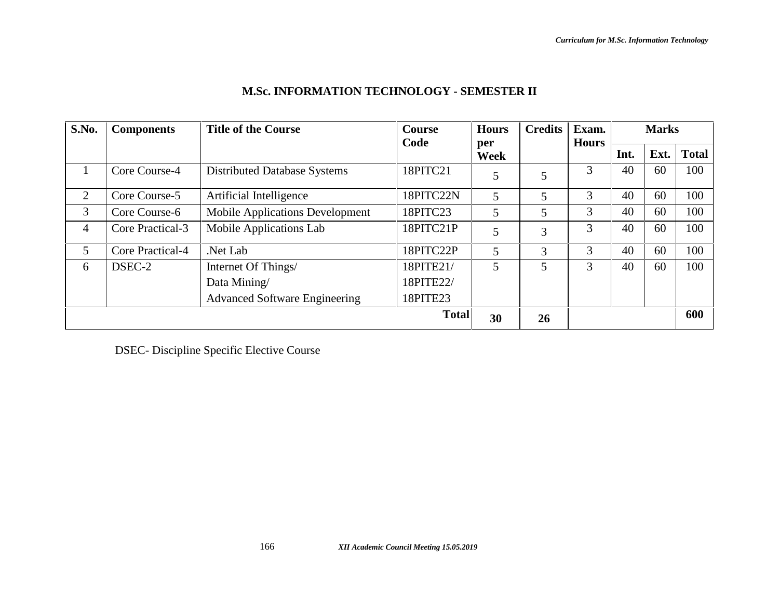| S.No.          | <b>Components</b> | <b>Title of the Course</b>             | <b>Course</b><br>Code | <b>Hours</b> | <b>Credits</b> | Exam.<br><b>Hours</b> | <b>Marks</b> |      |              |
|----------------|-------------------|----------------------------------------|-----------------------|--------------|----------------|-----------------------|--------------|------|--------------|
|                |                   |                                        |                       | per<br>Week  |                |                       | Int.         | Ext. | <b>Total</b> |
|                | Core Course-4     | <b>Distributed Database Systems</b>    | 18PITC21              | 5            | 5              | 3                     | 40           | 60   | 100          |
| 2              | Core Course-5     | Artificial Intelligence                | 18PITC22N             | 5            | 5              | 3                     | 40           | 60   | 100          |
| 3              | Core Course-6     | <b>Mobile Applications Development</b> | 18PITC23              | 5            | 5              | 3                     | 40           | 60   | 100          |
| $\overline{4}$ | Core Practical-3  | Mobile Applications Lab                | 18PITC21P             | 5            | 3              | 3                     | 40           | 60   | 100          |
| 5              | Core Practical-4  | Net Lab.                               | 18PITC22P             | 5            | 3              | 3                     | 40           | 60   | 100          |
| 6              | DSEC-2            | Internet Of Things/                    | 18PITE21/             | 5            | 5              | 3                     | 40           | 60   | 100          |
|                |                   | Data Mining                            | 18PITE22/             |              |                |                       |              |      |              |
|                |                   | <b>Advanced Software Engineering</b>   | 18PITE23              |              |                |                       |              |      |              |
|                |                   |                                        | <b>Total</b>          | 30           | 26             |                       |              |      | 600          |

# **M.Sc. INFORMATION TECHNOLOGY - SEMESTER II**

DSEC- Discipline Specific Elective Course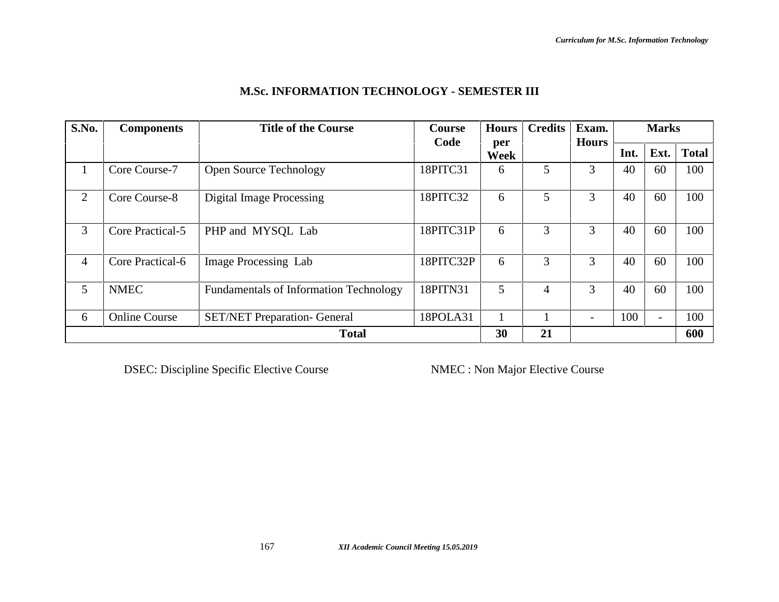| S.No.        | <b>Components</b>    | <b>Title of the Course</b>                    | <b>Course</b> | <b>Hours</b> | <b>Credits</b> | Exam.        |      | <b>Marks</b> |              |
|--------------|----------------------|-----------------------------------------------|---------------|--------------|----------------|--------------|------|--------------|--------------|
|              |                      |                                               | Code          | per<br>Week  |                | <b>Hours</b> | Int. | Ext.         | <b>Total</b> |
| $\mathbf{I}$ | Core Course-7        | <b>Open Source Technology</b>                 | 18PITC31      | 6            | 5              | 3            | 40   | 60           | 100          |
| 2            | Core Course-8        | <b>Digital Image Processing</b>               | 18PITC32      | 6            | 5              | 3            | 40   | 60           | 100          |
| 3            | Core Practical-5     | PHP and MYSQL Lab                             | 18PITC31P     | 6            | 3              | 3            | 40   | 60           | 100          |
| 4            | Core Practical-6     | <b>Image Processing Lab</b>                   | 18PITC32P     | 6            | 3              | 3            | 40   | 60           | 100          |
| 5            | <b>NMEC</b>          | <b>Fundamentals of Information Technology</b> | 18PITN31      | 5            | 4              | 3            | 40   | 60           | 100          |
| 6            | <b>Online Course</b> | <b>SET/NET Preparation- General</b>           | 18POLA31      |              |                |              | 100  |              | 100          |
|              |                      | <b>Total</b>                                  |               | 30           | 21             |              |      |              | 600          |

# **M.Sc. INFORMATION TECHNOLOGY - SEMESTER III**

DSEC: Discipline Specific Elective Course NMEC : Non Major Elective Course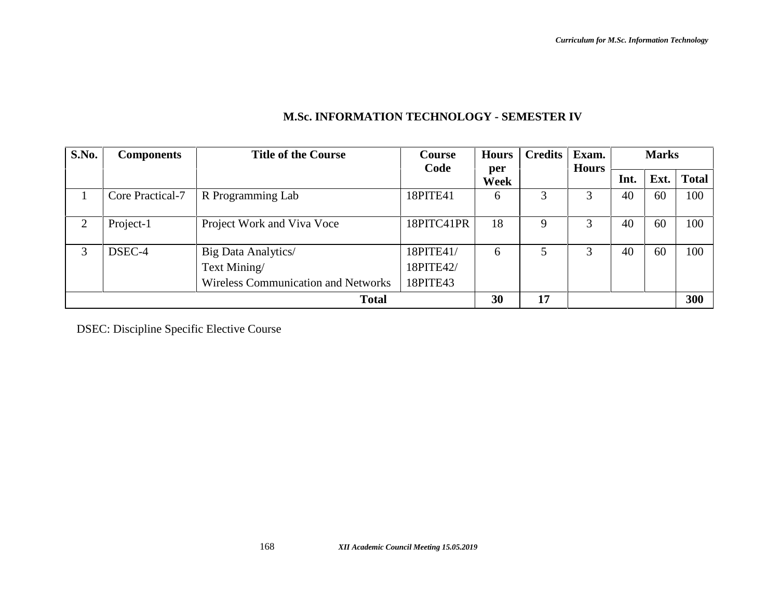| S.No.        | <b>Components</b> | <b>Title of the Course</b>                 | Course     | <b>Hours</b> | <b>Credits</b> | Exam.        |      | <b>Marks</b> |              |
|--------------|-------------------|--------------------------------------------|------------|--------------|----------------|--------------|------|--------------|--------------|
|              |                   |                                            | Code       | per          |                | <b>Hours</b> |      |              |              |
|              |                   |                                            |            | Week         |                |              | Int. | Ext.         | <b>Total</b> |
|              | Core Practical-7  | R Programming Lab                          | 18PITE41   | 6            | 3              | 3            | 40   | 60           | 100          |
|              |                   |                                            |            |              |                |              |      |              |              |
| ↑            | Project-1         | Project Work and Viva Voce                 | 18PITC41PR | 18           | 9              | 3            | 40   | 60           | 100          |
|              |                   |                                            |            |              |                |              |      |              |              |
| 3            | DSEC-4            | Big Data Analytics/                        | 18PITE41/  | 6            |                | 3            | 40   | 60           | 100          |
|              |                   | Text Mining/                               | 18PITE42/  |              |                |              |      |              |              |
|              |                   | <b>Wireless Communication and Networks</b> | 18PITE43   |              |                |              |      |              |              |
| <b>Total</b> |                   |                                            | 30         | 17           |                |              |      | 300          |              |

# **M.Sc. INFORMATION TECHNOLOGY - SEMESTER IV**

DSEC: Discipline Specific Elective Course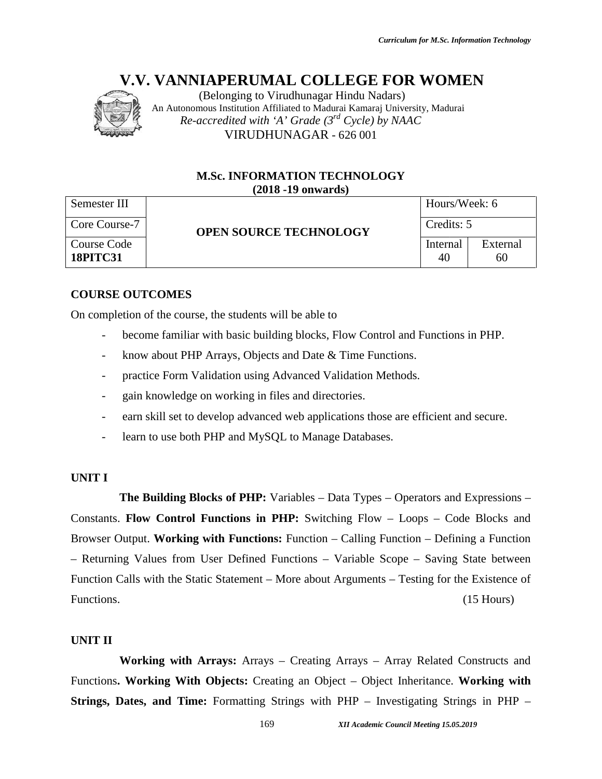

(Belonging to Virudhunagar Hindu Nadars) An Autonomous Institution Affiliated to Madurai Kamaraj University, Madurai *Re-accredited with 'A' Grade (3rd Cycle) by NAAC* VIRUDHUNAGAR - 626 001

## **M.Sc. INFORMATION TECHNOLOGY (2018 -19 onwards)**

| Semester III                   |                               | Hours/Week: 6  |                |  |
|--------------------------------|-------------------------------|----------------|----------------|--|
| Core Course-7                  | <b>OPEN SOURCE TECHNOLOGY</b> | Credits: 5     |                |  |
| Course Code<br><b>18PITC31</b> |                               | Internal<br>40 | External<br>60 |  |

## **COURSE OUTCOMES**

On completion of the course, the students will be able to

- become familiar with basic building blocks, Flow Control and Functions in PHP. tion of the course, the students will be able to<br>become familiar with basic building blocks, Flow Control and Functions ir<br>know about PHP Arrays, Objects and Date & Time Functions.<br>practice Form Validation using Advanced V
- know about PHP Arrays, Objects and Date & Time Functions.
- practice Form Validation using Advanced Validation Methods.
- gain knowledge on working in files and directories.
- earn skill set to develop advanced web applications those are efficient and secure.
- learn to use both PHP and MySQL to Manage Databases.

#### **UNIT I**

**The Building Blocks of PHP:** Variables – Data Types – Operators and Expressions – Constants. **Flow Control Functions in PHP:** Switching Flow – Loops – Code Blocks and Browser Output. **Working with Functions:** Function – Calling Function – Defining a Function – Returning Values from User Defined Functions – Variable Scope – Saving State between Function Calls with the Static Statement – More about Arguments – Testing for the Existence of Functions. (15 Hours) *IBelonging to Virumbungent Hindu Nadars*<br> *IBelonging to Virumbung Hindu Nadarsi Kamaraj University, Madurai*<br> *16.07.07.07.07.107.107.107.07.07.108.19.108.19.108.19.108.11.108.11.108.11.108.11.108.11.108.11.108.11.108.11* with Functions: Function – Calling Function – Defining a<br>User Defined Functions – Variable Scope – Saving State 626 001<br> **17.11NOLOGY**<br> **18.0687**<br> **18.0687**<br> **18.0687**<br> **18.0687**<br> **18.0687**<br> **18.0687**<br> **18.0697**<br> **18.0697**<br> **18.0697**<br> **18.0697**<br> **18.0697**<br> **18.0697**<br> **18.0697**<br> **18.0697**<br> **18.0697**<br> **18.0697**<br> **18.0697**<br> **18.0697**<br>

#### **UNIT II**

**Working with Arrays:** Arrays – Creating Arrays – Array Related Constructs and Functions**. Working With Objects:** Creating an Object – Object Inheritance. **Working with** Functions. Working With Objects: Creating an Object – Object Inheritance. Working with<br>Strings, Dates, and Time: Formatting Strings with PHP – Investigating Strings in PHP –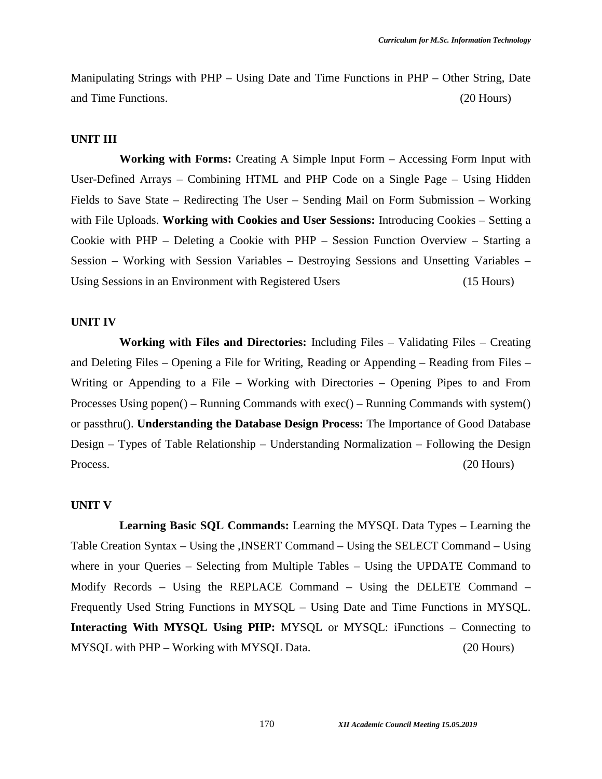Manipulating Strings with PHP – Using Date and Time Functions in PHP – Other String, Date and Time Functions. (20 Hours)

#### **UNIT III**

**Working with Forms:** Creating A Simple Input Form – Accessing Form Input with User-Defined Arrays – Combining HTML and PHP Code on a Single Page – Using Hidden Fields to Save State – Redirecting The User – Sending Mail on Form Submission – Working with File Uploads. **Working with Cookies and User Sessions:** Introducing Cookies – Setting a Cookie with PHP – Deleting a Cookie with PHP – Session Function Overview – Starting a Session – Working with Session Variables – Destroying Sessions and Unsetting Variables – Using Sessions in an Environment with Registered Users (15 Hours)

#### **UNIT IV**

**Working with Files and Directories:** Including Files – Validating Files – Creating and Deleting Files – Opening a File for Writing, Reading or Appending – Reading from Files – Writing or Appending to a File – Working with Directories – Opening Pipes to and From Processes Using popen() – Running Commands with exec() – Running Commands with system() or passthru(). **Understanding the Database Design Process:** The Importance of Good Database Design – Types of Table Relationship – Understanding Normalization – Following the Design Process. (20 Hours)

#### **UNIT V**

**Learning Basic SQL Commands:** Learning the MYSQL Data Types – Learning the Table Creation Syntax – Using the ,INSERT Command – Using the SELECT Command – Using where in your Queries – Selecting from Multiple Tables – Using the UPDATE Command to Modify Records – Using the REPLACE Command – Using the DELETE Command – Frequently Used String Functions in MYSQL – Using Date and Time Functions in MYSQL. **Interacting With MYSQL Using PHP:** MYSQL or MYSQL: iFunctions – Connecting to MYSQL with PHP – Working with MYSQL Data. (20 Hours)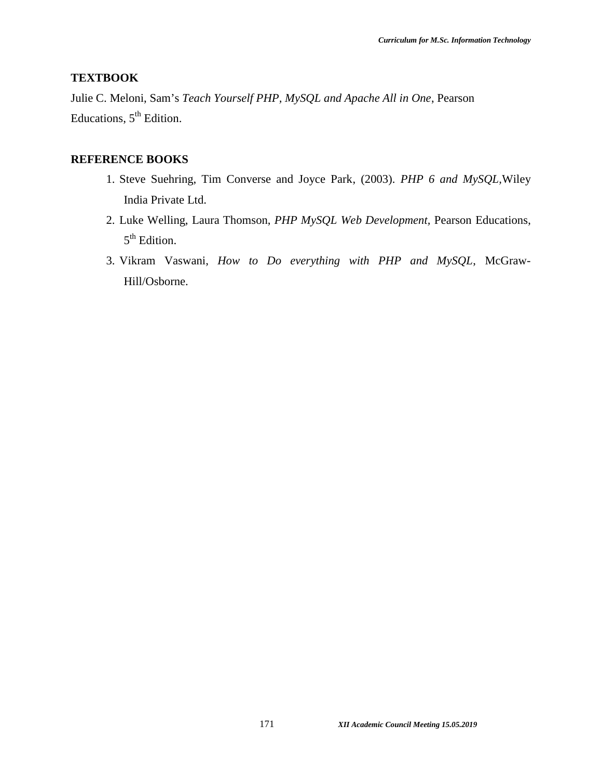## **TEXTBOOK**

Julie C. Meloni, Sam's *Teach Yourself PHP, MySQL and Apache All in One*, Pearson Educations, 5<sup>th</sup> Edition.

## **REFERENCE BOOKS**

- 1. Steve Suehring, Tim Converse and Joyce Park, (2003). *PHP 6 and MySQL,*Wiley India Private Ltd.
- 2. Luke Welling, Laura Thomson, *PHP MySQL Web Development,* Pearson Educations, 5<sup>th</sup> Edition.
- 3. Vikram Vaswani, *How to Do everything with PHP and MySQL*, McGraw- Hill/Osborne.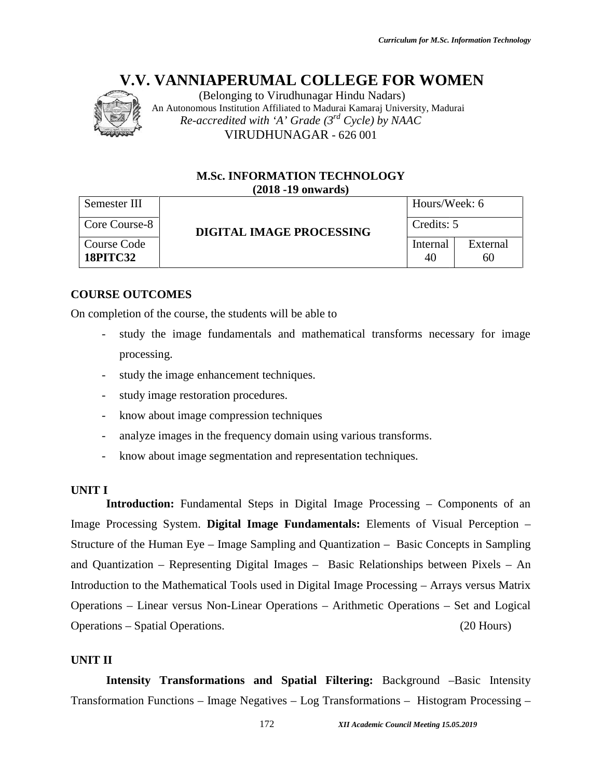

(Belonging to Virudhunagar Hindu Nadars) An Autonomous Institution Affiliated to Madurai Kamaraj University, Madurai *Re-accredited with 'A' Grade (3rd Cycle) by NAAC* VIRUDHUNAGAR - 626 001

#### **M.Sc. INFORMATION TECHNOLOGY (2018 -19 onwards)**

| Semester III                   |                                 | Hours/Week: 6  |                |  |  |
|--------------------------------|---------------------------------|----------------|----------------|--|--|
| Core Course-8                  | <b>DIGITAL IMAGE PROCESSING</b> | Credits: 5     |                |  |  |
| Course Code<br><b>18PITC32</b> |                                 | Internal<br>40 | External<br>60 |  |  |

## **COURSE OUTCOMES**

On completion of the course, the students will be able to

- study the image fundamentals and mathematical transforms necessary for image processing. Code<br>
C32 Internal<br>
OUTCOMES<br>
Etion of the course, the students will be able to<br>
study the image fundamentals and mathematical transforms nece<br>
processing.<br>
Study the image enhancement techniques.
- study the image enhancement techniques.
- study image restoration procedures.
- know about image compression techniques
- study image restoration procedures.<br>- know about image compression techniques<br>- analyze images in the frequency domain using various transforms.
- know about image segmentation and representation techniques.

#### **UNIT I**

**Introduction:** Fundamental Steps in Digital Image Processing – Components of an Image Processing System. **Digital Image Fundamentals:** Elements of Visual Perception – Structure of the Human Eye – Image Sampling and Quantization – Basic Concepts in Sampling and Quantization – Representing Digital Images – Basic Relationships between Pixels – An Introduction to the Mathematical Tools used in Digital Image Processing – Arrays versus Matrix Operations – Linear versus Non-Linear Operations – Arithmetic Operations – Set and Logical Operations – Spatial Operations. (20 Hours) *IB.* (Belonging to Viruchunagur Hindu Nadars)<br> *nous Issitution Afflinded to Madurai Kamaraj University, Madurai*<br> *accredited with 'A' Grade (3<sup>nd</sup> Cycle) by NAAC<br>
<br> VIRUDHUNAGAR - 626 001<br> M.Sc. INFORMATION TECHNOLOG* Structure of the Human Eye – Image Sampling and Quantization – Basic Concepts in Sampling<br>
and Quantization – Representing Digital Images – Basic Relationships between Pixels – An<br>
Introduction to the Mathematical Tools us 626 001<br> **17.11.12.05.2019**<br> **18.02.05.11.12.05.11.12.05.11.12.05.11.12.05.11.12.11.12.11.12.11.12.11.12.11.12.11.12.11.12.11.12.11.12.11.12.11.12.11.12.11.12.11.12.11.12.11.12.11.12.11.12.11.12.11.12.11.12.11.12.11.12.11.** 

#### **UNIT II**

**Intensity Transformations and Spatial Filtering:** Background –Basic Intensity Transformation Functions – Image Negatives – Log Transformations – Histogram Processing –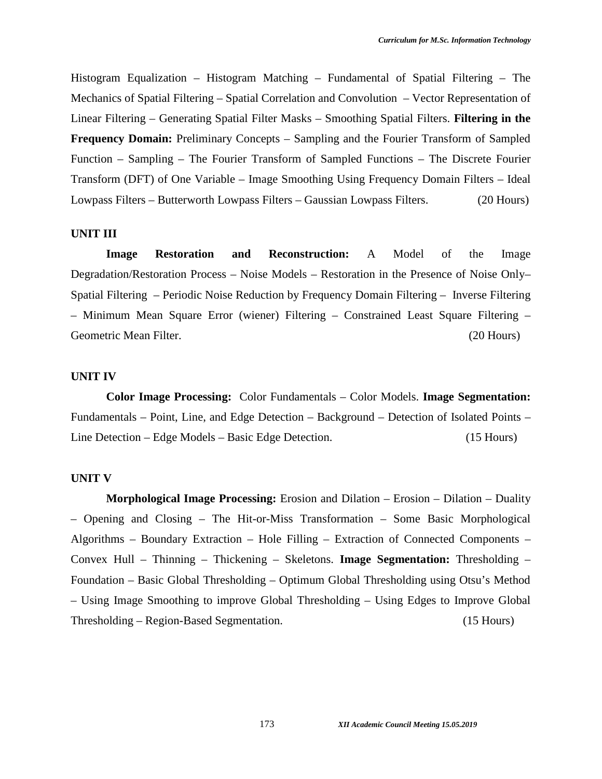Histogram Equalization – Histogram Matching – Fundamental of Spatial Filtering – The Mechanics of Spatial Filtering – Spatial Correlation and Convolution – Vector Representation of Linear Filtering – Generating Spatial Filter Masks – Smoothing Spatial Filters. **Filtering in the Frequency Domain:** Preliminary Concepts – Sampling and the Fourier Transform of Sampled Function – Sampling – The Fourier Transform of Sampled Functions – The Discrete Fourier Transform (DFT) of One Variable – Image Smoothing Using Frequency Domain Filters – Ideal Lowpass Filters – Butterworth Lowpass Filters – Gaussian Lowpass Filters. (20 Hours)

#### **UNIT III**

**Image Restoration and Reconstruction:** A Model of the Image Degradation/Restoration Process – Noise Models – Restoration in the Presence of Noise Only– Spatial Filtering – Periodic Noise Reduction by Frequency Domain Filtering – Inverse Filtering – Minimum Mean Square Error (wiener) Filtering – Constrained Least Square Filtering – Geometric Mean Filter. (20 Hours)

#### **UNIT IV**

**Color Image Processing:** Color Fundamentals – Color Models. **Image Segmentation:** Fundamentals – Point, Line, and Edge Detection – Background – Detection of Isolated Points – Line Detection – Edge Models – Basic Edge Detection. (15 Hours)

#### **UNIT V**

**Morphological Image Processing:** Erosion and Dilation – Erosion – Dilation – Duality – Opening and Closing – The Hit-or-Miss Transformation – Some Basic Morphological Algorithms – Boundary Extraction – Hole Filling – Extraction of Connected Components – Convex Hull – Thinning – Thickening – Skeletons. **Image Segmentation:** Thresholding – Foundation – Basic Global Thresholding – Optimum Global Thresholding using Otsu's Method – Using Image Smoothing to improve Global Thresholding – Using Edges to Improve Global Thresholding – Region-Based Segmentation. (15 Hours)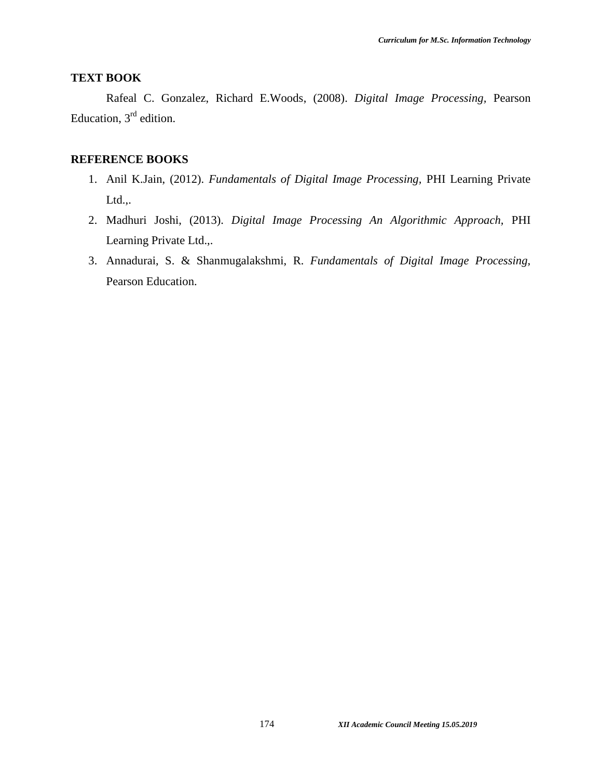## **TEXT BOOK**

Rafeal C. Gonzalez, Richard E.Woods, (2008). *Digital Image Processing,* Pearson Education,  $3<sup>rd</sup>$  edition.

#### **REFERENCE BOOKS**

- 1. Anil K.Jain, (2012). *Fundamentals of Digital Image Processing,* PHI Learning Private Ltd.,.
- 2. Madhuri Joshi, (2013). *Digital Image Processing An Algorithmic Approach,* PHI Learning Private Ltd.,.
- 3. Annadurai, S. & Shanmugalakshmi, R. *Fundamentals of Digital Image Processing,* Pearson Education.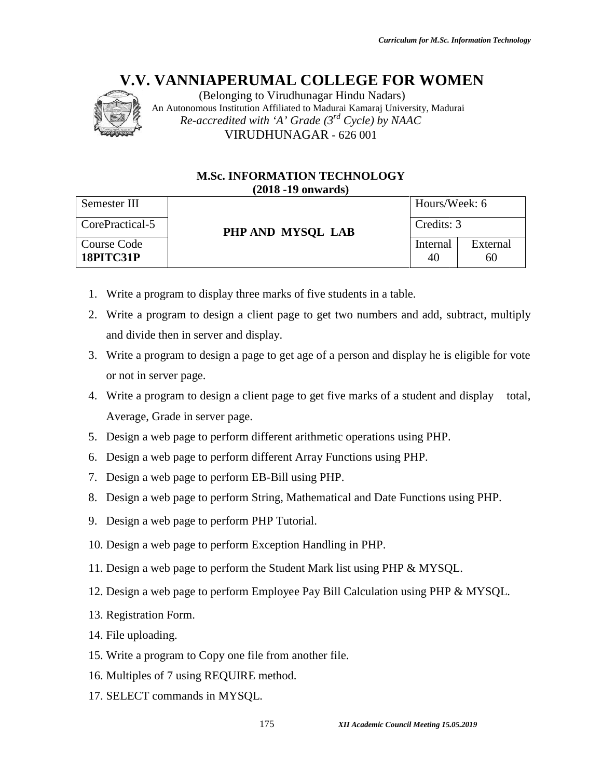

#### **M.Sc. INFORMATION TECHNOLOGY (2018 -19 onwards)**

|                                 | (Belonging to Virudhunagar Hindu Nadars)<br>An Autonomous Institution Affiliated to Madurai Kamaraj University, Madurai |                                         |
|---------------------------------|-------------------------------------------------------------------------------------------------------------------------|-----------------------------------------|
|                                 | Re-accredited with 'A' Grade $(3^{rd}$ Cycle) by NAAC                                                                   |                                         |
|                                 | VIRUDHUNAGAR - 626 001                                                                                                  |                                         |
|                                 | <b>M.Sc. INFORMATION TECHNOLOGY</b>                                                                                     |                                         |
|                                 | $(2018 - 19)$ onwards)                                                                                                  |                                         |
| Semester III                    |                                                                                                                         | Hours/Week: 6                           |
| CorePractical-5                 | PHP AND MYSQL LAB                                                                                                       | Credits: 3                              |
| Course Code<br><b>18PITC31P</b> |                                                                                                                         | External<br>Internal<br>40<br>60        |
|                                 |                                                                                                                         |                                         |
| 1.                              | Write a program to display three marks of five students in a table.                                                     |                                         |
| 2.                              | Write a program to design a client page to get two numbers and add, subtract, multiply                                  |                                         |
|                                 | and divide then in server and display.                                                                                  |                                         |
| 3.                              | Write a program to design a page to get age of a person and display he is eligible for vote                             |                                         |
| or not in server page.          |                                                                                                                         |                                         |
|                                 | 4. Write a program to design a client page to get five marks of a student and display                                   | total,                                  |
|                                 | Average, Grade in server page.                                                                                          |                                         |
| 5.                              | Design a web page to perform different arithmetic operations using PHP.                                                 |                                         |
| 6.                              | Design a web page to perform different Array Functions using PHP.                                                       |                                         |
| 7.                              | Design a web page to perform EB-Bill using PHP.                                                                         |                                         |
| 8.                              | Design a web page to perform String, Mathematical and Date Functions using PHP.                                         |                                         |
| 9.                              | Design a web page to perform PHP Tutorial.                                                                              |                                         |
|                                 | 10. Design a web page to perform Exception Handling in PHP.                                                             |                                         |
|                                 | 11. Design a web page to perform the Student Mark list using PHP & MYSQL.                                               |                                         |
|                                 | 12. Design a web page to perform Employee Pay Bill Calculation using PHP & MYSQL.                                       |                                         |
| 13. Registration Form.          |                                                                                                                         |                                         |
| 14. File uploading.             |                                                                                                                         |                                         |
|                                 | 15. Write a program to Copy one file from another file.                                                                 |                                         |
|                                 | 16. Multiples of 7 using REQUIRE method.                                                                                |                                         |
|                                 | 17. SELECT commands in MYSQL.                                                                                           |                                         |
|                                 | 175                                                                                                                     | XII Academic Council Meeting 15.05.2019 |

- 1. Write a program to display three marks of five students in a table.
- 2. Write a program to design a client page to get two numbers and add, subtract, multiply and divide then in server and display. Internal<br> **IEXTE AND**<br> **EXTE AND**<br> **EXTE AND**<br> **EXTE AND**<br> **EXTE AND**<br> **EXTE AND**<br> **EXTE AND**<br> **EXTE AND**<br> **EXTE AND**<br> **EXTE AND**<br> **EXTE AND**<br> **EXTE AND**<br> **EXTE AND**<br> **EXTE AND**<br> **EXTE AND**<br> **EXTE AND**<br> **EXTE AND**<br> **EXTE A**
- 3. Write a program to design a page to get age of a person and display he is eligible for vote or not in server page. page.
- 4. Write a program to design a client page to get five marks of a student and display total, Average, Grade in server page. design a client page to get five marks of a student an<br>erver page.<br>to perform different arithmetic operations using PHP.<br>to perform different Array Functions using PHP.
- 5. Design a web page to perform different arithmetic operations using PHP.
- 6. Design a web page to perform different Array Functions using PHP.
- 7. Design a web page to perform EB-Bill using PHP.
- 8. Design a web page to perform String, Mathematical and Date Functions using PHP.
- 9. Design a web page to perform PHP Tutorial.
- 10. Design a web page to perform Exception Handling in PHP.
- 11. Design a web page to perform the Student Mark list using PHP & MYSQL.
- 12. Design a web page to perform Employee Pay Bill Calculation using PHP & MYSQL. ge to perform String, Mathematical and Date Functions using PHP.<br>Exception PHP Tutorial.<br>Exception Handling in PHP.<br>Exception the Student Mark list using PHP & MYSQL.<br>Exception Employee Pay Bill Calculation using PHP & MYS
- 13. Registration Form.
- 14. File uploading.
- 15. Write a program to Copy one file from another file.
- 16. Multiples of 7 using REQUIRE method.
- 17. SELECT commands in MYSQL.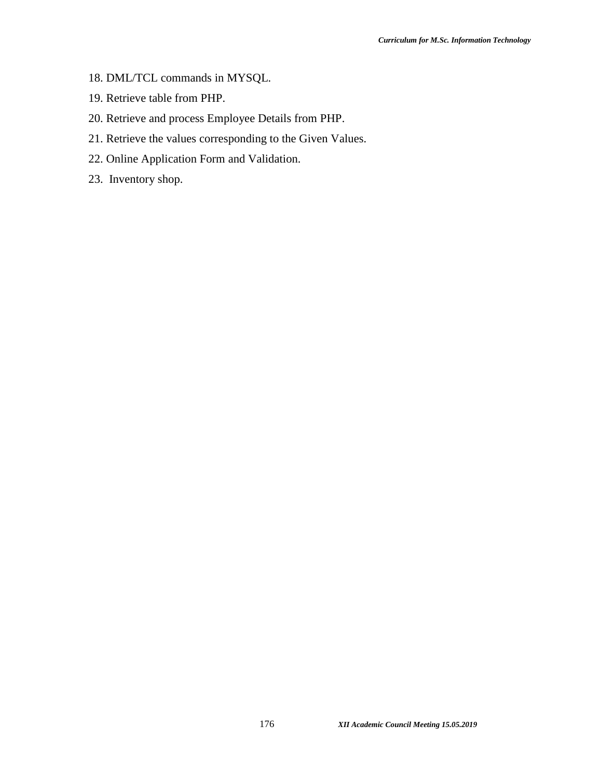- 18. DML/TCL commands in MYSQL.
- 19. Retrieve table from PHP.
- 20. Retrieve and process Employee Details from PHP.
- 21. Retrieve the values corresponding to the Given Values.
- 22. Online Application Form and Validation.
- 23. Inventory shop.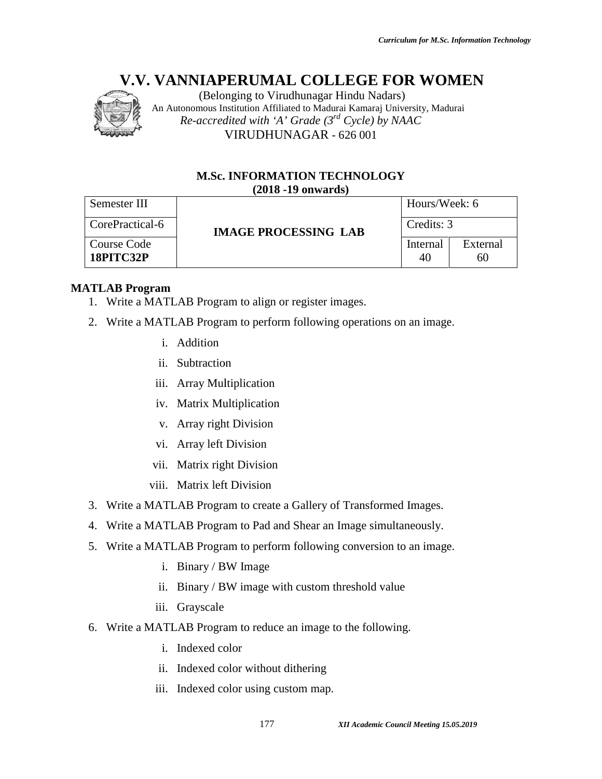

#### **M.Sc. INFORMATION TECHNOLOGY (2018 -19 onwards)**

| Semester III<br>CorePractical-6<br><b>Course Code</b><br>18PITC32P | $(2018 - 19)$ onwards)<br><b>IMAGE PROCESSING LAB</b>                  | Hours/Week: 6  |                |  |  |
|--------------------------------------------------------------------|------------------------------------------------------------------------|----------------|----------------|--|--|
|                                                                    |                                                                        |                |                |  |  |
|                                                                    |                                                                        |                | Credits: 3     |  |  |
|                                                                    |                                                                        | Internal<br>40 | External<br>60 |  |  |
| <b>ATLAB Program</b>                                               | 1. Write a MATLAB Program to align or register images.                 |                |                |  |  |
|                                                                    | 2. Write a MATLAB Program to perform following operations on an image. |                |                |  |  |
| $i_{-}$                                                            | Addition                                                               |                |                |  |  |
| ii.                                                                | Subtraction                                                            |                |                |  |  |
| iii.                                                               | <b>Array Multiplication</b>                                            |                |                |  |  |
|                                                                    | iv. Matrix Multiplication                                              |                |                |  |  |
|                                                                    | v. Array right Division                                                |                |                |  |  |
|                                                                    | vi. Array left Division                                                |                |                |  |  |
|                                                                    | vii. Matrix right Division                                             |                |                |  |  |
|                                                                    | viii. Matrix left Division                                             |                |                |  |  |
|                                                                    | 3. Write a MATLAB Program to create a Gallery of Transformed Images.   |                |                |  |  |
| 4.                                                                 | Write a MATLAB Program to Pad and Shear an Image simultaneously.       |                |                |  |  |
|                                                                    | 5. Write a MATLAB Program to perform following conversion to an image. |                |                |  |  |
|                                                                    | i. Binary / BW Image                                                   |                |                |  |  |
| 11.                                                                | Binary / BW image with custom threshold value                          |                |                |  |  |
| iii.                                                               | Grayscale                                                              |                |                |  |  |
| 6.                                                                 | Write a MATLAB Program to reduce an image to the following.            |                |                |  |  |
|                                                                    | Indexed color                                                          |                |                |  |  |
| i.                                                                 |                                                                        |                |                |  |  |
| ii.                                                                | Indexed color without dithering                                        |                |                |  |  |

## **MATLAB Program**

- 1. Write a MATLAB Program to align or register images.
- 2. Write a MATLAB Program to perform following operations on an image.
	- i. Addition
	- ii. Subtraction
	- iii. Array Multiplication
	- iv. Matrix Multiplication
	- v. Array right Division
	- vi. Array left Division
	- vii. Matrix right Division
	- viii. Matrix left Division
- 3. Write a MATLAB Program to create a Gallery of Transformed Images. ogram to perform following operations on a<br>
on<br>
ction<br>
Multiplication<br>
right Division<br>
right Division<br>
right Division<br>
ogram to create a Gallery of Transformed I<br>
ogram to Pad and Shear an Image simultan<br>
ogram to perform
- 4. Write a MATLAB Program to Pad and Shear an Image simultaneously.
- 5. Write a MATLAB Program to perform following conversion to an image.
	- i. Binary / BW Image
	- ii. Binary / BW image with custom threshold value
	- iii. Grayscale
- 6. Write a MATLAB Program to reduce an image to the following.
	- i. Indexed color
	- ii. Indexed color without dithering
	- iii. Indexed color using custom map.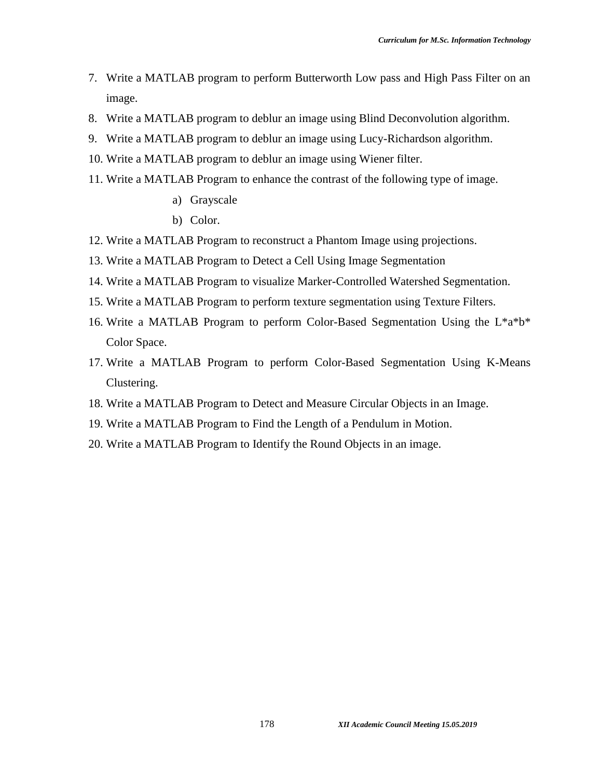- 7. Write a MATLAB program to perform Butterworth Low pass and High Pass Filter on an image.
- 8. Write a MATLAB program to deblur an image using Blind Deconvolution algorithm.
- 9. Write a MATLAB program to deblur an image using Lucy-Richardson algorithm.
- 10. Write a MATLAB program to deblur an image using Wiener filter.
- 11. Write a MATLAB Program to enhance the contrast of the following type of image.
	- a) Grayscale
	- b) Color.
- 12. Write a MATLAB Program to reconstruct a Phantom Image using projections.
- 13. Write a MATLAB Program to Detect a Cell Using Image Segmentation
- 14. Write a MATLAB Program to visualize Marker-Controlled Watershed Segmentation.
- 15. Write a MATLAB Program to perform texture segmentation using Texture Filters.
- 16. Write a MATLAB Program to perform Color-Based Segmentation Using the L\*a\*b\* Color Space.
- 17. Write a MATLAB Program to perform Color-Based Segmentation Using K-Means Clustering.
- 18. Write a MATLAB Program to Detect and Measure Circular Objects in an Image.
- 19. Write a MATLAB Program to Find the Length of a Pendulum in Motion.
- 20. Write a MATLAB Program to Identify the Round Objects in an image.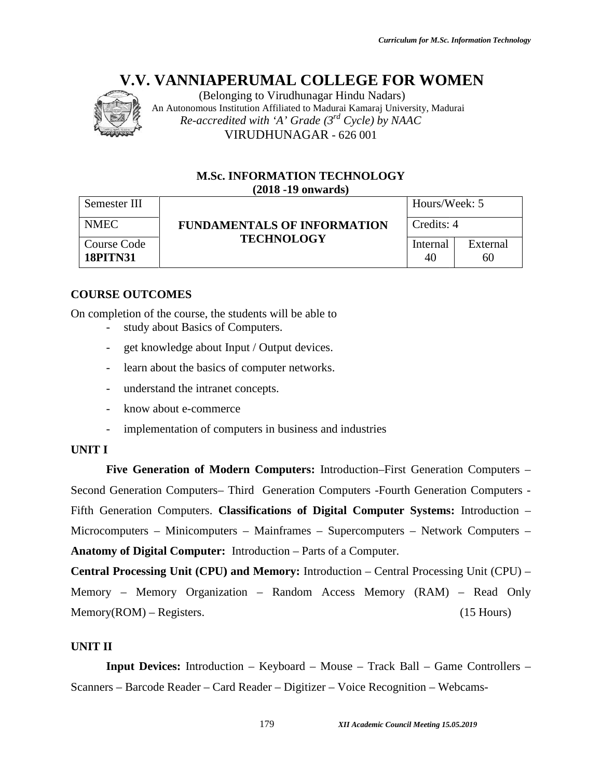

(Belonging to Virudhunagar Hindu Nadars) An Autonomous Institution Affiliated to Madurai Kamaraj University, Madurai *Re-accredited with 'A' Grade (3rd Cycle) by NAAC* VIRUDHUNAGAR - 626 001

#### **M.Sc. INFORMATION TECHNOLOGY (2018 -19 onwards)**

| Semester III                   |                                                           |                | Hours/Week: 5<br>Credits: 4 |  |  |
|--------------------------------|-----------------------------------------------------------|----------------|-----------------------------|--|--|
| <b>NMEC</b>                    | <b>FUNDAMENTALS OF INFORMATION</b><br><b>TECHNOLOGY</b>   |                |                             |  |  |
| Course Code<br><b>18PITN31</b> |                                                           | Internal<br>40 | External<br>60              |  |  |
|                                |                                                           |                |                             |  |  |
| <b>COURSE OUTCOMES</b>         |                                                           |                |                             |  |  |
|                                | In completion of the course, the students will be able to |                |                             |  |  |
|                                | study about Basics of Computers.                          |                |                             |  |  |

## **COURSE OUTCOMES**

- study about Basics of Computers.
- get knowledge about Input / Output devices.
- learn about the basics of computer networks.
- understand the intranet concepts.
- know about e-commerce
- get knowledge about Input / Output devices.<br>
 learn about the basics of computer networks.<br>
 understand the intranet concepts.<br>
 know about e-commerce<br>
 implementation of computers in business and industries

#### **UNIT I**

**Five Generation of Modern Computers:** Introduction–First Generation Computers – Second Generation Computers– Third Generation Computers -Fourth Generation Computers - Fifth Generation Computers. **Classifications of Digital Computer Systems:** Introduction – Microcomputers – Minicomputers – Mainframes – Supercomputers – Network Computers – **Anatomy of Digital Computer:** Introduction – Parts of a Computer. *IBelonging to Virumbungent Hindu Nadarsi<br>
Institution Afflinded to Madurai Kamaraj University, Madurai<br>
<i>16.07.07.08.19.108.108.108.108.108.108.108.108.11*<br> **17.07.108.11.108.11.108.11.108.11.108.11.108.11.108.11.108.11.1** Generation Computers– Third Generation Computers - Fourth Generation Computers<br>eneration Computers. Classifications of Digital Computer Systems: Introduction<br>mputers – Minicomputers – Mainframes – Supercomputers – Network *15.05.2019*626 001–Webcams-

**Central Processing Unit (CPU) and Memory:** Introduction – Central Processing Unit (CPU) – – Memory – Memory Organization – Random Access Memory (RAM) – Read Only Memory(ROM) – Registers. (15 Hours)

#### **UNIT II**

**Input Devices:** Introduction – Keyboard – Mouse – Track Ball – Game Controllers – Scanners - Barcode Reader - Card Reader - Digitizer - Voice Recognition - Webcams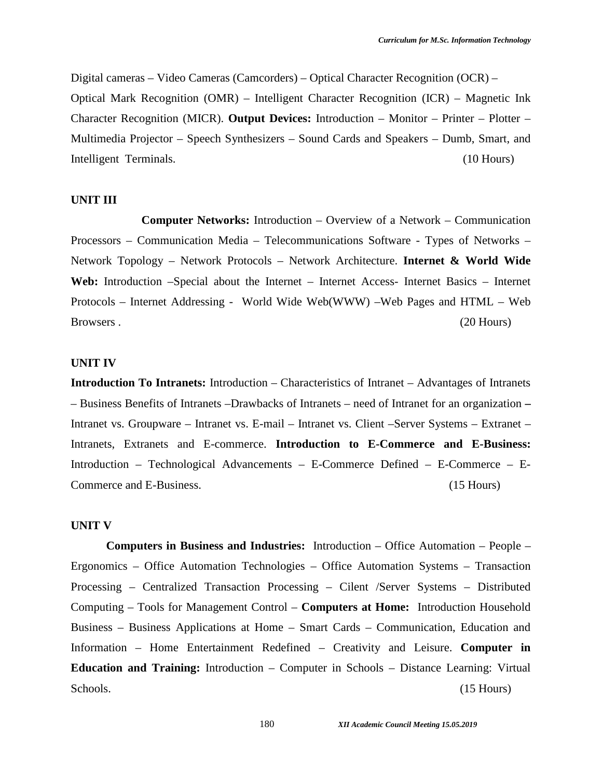Digital cameras – Video Cameras (Camcorders) – Optical Character Recognition (OCR) – Optical Mark Recognition (OMR) – Intelligent Character Recognition (ICR) – Magnetic Ink Character Recognition (MICR). **Output Devices:** Introduction – Monitor – Printer – Plotter – Multimedia Projector – Speech Synthesizers – Sound Cards and Speakers – Dumb, Smart, and Intelligent Terminals. (10 Hours)

#### **UNIT III**

**Computer Networks:** Introduction – Overview of a Network – Communication Processors – Communication Media – Telecommunications Software -Types of Networks – Network Topology – Network Protocols – Network Architecture. **Internet & World Wide** Web: Introduction –Special about the Internet – Internet Access- Internet Basics – Internet Protocols – Internet Addressing - World Wide Web(WWW) –Web Pages and HTML – Web Browsers . (20 Hours)

#### **UNIT IV**

**Introduction To Intranets:** Introduction – Characteristics of Intranet – Advantages of Intranets – Business Benefits of Intranets –Drawbacks of Intranets – need of Intranet for an organization **–** Intranet vs. Groupware – Intranet vs. E-mail – Intranet vs. Client –Server Systems – Extranet – Intranets, Extranets and E-commerce. **Introduction to E-Commerce and E-Business:** Introduction – Technological Advancements – E-Commerce Defined – E-Commerce – E- Commerce and E-Business. (15 Hours)

#### **UNIT V**

**Computers in Business and Industries:** Introduction – Office Automation – People – Ergonomics – Office Automation Technologies – Office Automation Systems – Transaction Processing – Centralized Transaction Processing – Cilent /Server Systems – Distributed Computing – Tools for Management Control – **Computers at Home:** Introduction Household Business – Business Applications at Home – Smart Cards – Communication, Education and Information – Home Entertainment Redefined – Creativity and Leisure. **Computer in Education and Training:** Introduction – Computer in Schools – Distance Learning: Virtual Schools. (15 Hours) (15 Hours)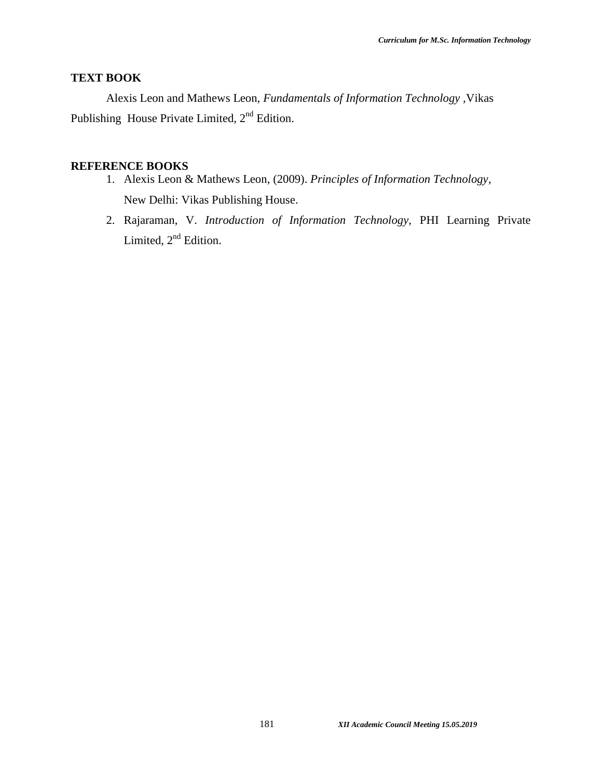# **TEXT BOOK**

Alexis Leon and Mathews Leon, *Fundamentals of Information Technology ,*Vikas Publishing House Private Limited,  $2<sup>nd</sup>$  Edition.

## **REFERENCE BOOKS**

- 1. Alexis Leon & Mathews Leon, (2009). *Principles of Information Technology*, New Delhi: Vikas Publishing House.
- 2. Rajaraman, V. *Introduction of Information Technology,* PHI Learning Private Limited,  $2<sup>nd</sup>$  Edition.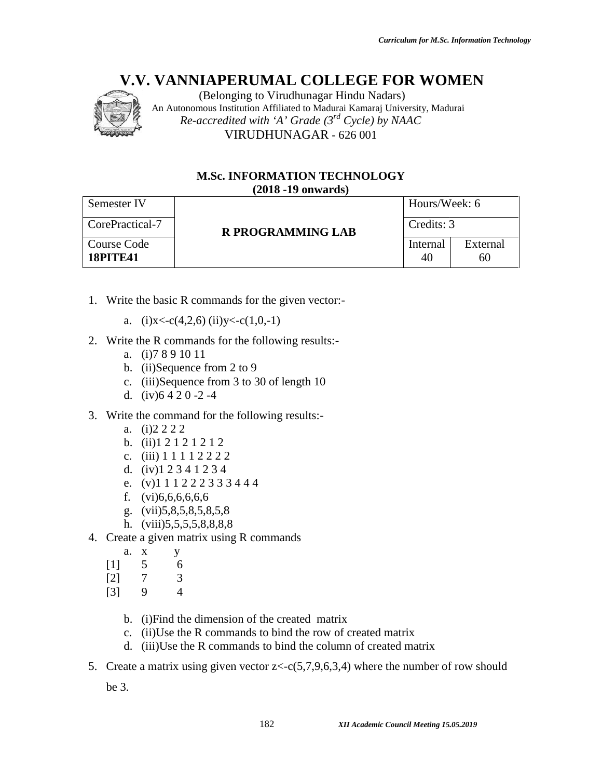

#### **M.Sc. INFORMATION TECHNOLOGY (2018 -19 onwards)**

|                                                       | (Belonging to Virudhunagar Hindu Nadars)<br>An Autonomous Institution Affiliated to Madurai Kamaraj University, Madurai                                                                                                                                                                   |                                         |                |  |  |
|-------------------------------------------------------|-------------------------------------------------------------------------------------------------------------------------------------------------------------------------------------------------------------------------------------------------------------------------------------------|-----------------------------------------|----------------|--|--|
|                                                       | Re-accredited with 'A' Grade $(3^{rd}$ Cycle) by NAAC                                                                                                                                                                                                                                     |                                         |                |  |  |
|                                                       | VIRUDHUNAGAR - 626 001                                                                                                                                                                                                                                                                    |                                         |                |  |  |
|                                                       | <b>M.Sc. INFORMATION TECHNOLOGY</b>                                                                                                                                                                                                                                                       |                                         |                |  |  |
|                                                       | $(2018 - 19)$ onwards)                                                                                                                                                                                                                                                                    |                                         |                |  |  |
| Semester IV                                           |                                                                                                                                                                                                                                                                                           |                                         | Hours/Week: 6  |  |  |
| CorePractical-7                                       |                                                                                                                                                                                                                                                                                           | <b>R PROGRAMMING LAB</b>                | Credits: 3     |  |  |
| Course Code<br><b>18PITE41</b>                        |                                                                                                                                                                                                                                                                                           | Internal<br>40                          | External<br>60 |  |  |
|                                                       | 1. Write the basic R commands for the given vector:-                                                                                                                                                                                                                                      |                                         |                |  |  |
|                                                       | a. (i)x<-c(4,2,6) (ii)y<-c(1,0,-1)                                                                                                                                                                                                                                                        |                                         |                |  |  |
| a. (i) 789 10 11<br>$c_{\cdot}$<br>d. $(iv)$ 6420-2-4 | 2. Write the R commands for the following results:-<br>b. (ii)Sequence from 2 to 9<br>(iii)Sequence from 3 to 30 of length 10                                                                                                                                                             |                                         |                |  |  |
| $(i)$ 2 2 2 2<br>a.<br>c.<br>d.<br>e.<br>f.<br>g.     | 3. Write the command for the following results:-<br>b. $(ii) 1 2 1 2 1 2 1 2$<br>$(iii)$ 1 1 1 1 2 2 2 2<br>$(iv)$ 1 2 3 4 1 2 3 4<br>$(v)$ 1 1 1 2 2 2 3 3 3 4 4 4<br>(vi)6,6,6,6,6,6<br>(vii)5,8,5,8,5,8,5,8<br>h. $(viii)5,5,5,5,8,8,8,8$<br>4. Create a given matrix using R commands |                                         |                |  |  |
| a.<br>X<br>5<br>$[1]$<br>$[2]$<br>7<br>9<br>$[3]$     | У<br>6<br>3<br>$\overline{4}$                                                                                                                                                                                                                                                             |                                         |                |  |  |
| b.<br>$\mathbf{c}$ .<br>d.                            | (i) Find the dimension of the created matrix<br>(ii) Use the R commands to bind the row of created matrix<br>(iii) Use the R commands to bind the column of created matrix                                                                                                                |                                         |                |  |  |
| 5.                                                    | Create a matrix using given vector $z < c(5,7,9,6,3,4)$ where the number of row should                                                                                                                                                                                                    |                                         |                |  |  |
| be $3$ .                                              |                                                                                                                                                                                                                                                                                           |                                         |                |  |  |
|                                                       | 182                                                                                                                                                                                                                                                                                       | XII Academic Council Meeting 15.05.2019 |                |  |  |

- 1. Write the basic R commands for the given vector:
	- a. (i) $x < -c(4,2,6)$  (ii) $y < -c(1,0,-1)$
- 2. Write the R commands for the following results:
	- a. (i)7 8 9 10 11
	- b. (ii)Sequence from 2 to 9
	- c. (iii)Sequence from 3 to 30 of length 10
	- d.  $(iv)$ 6 4 2 0 -2 -4
- 3. Write the command for the following results:
	- a. (i)2 2 2 2
	- b. (ii)1 2 1 2 1 2 1 2
	- c. (iii) 1 1 1 1 2 2 2 2
	- d. (iv)1 2 3 4 1 2 3 4
	- e. (v)1 1 1 2 2 2 3 3 3 4 4 4
	- f. (vi)6,6,6,6,6,6
	- g. (vii)5,8,5,8,5,8,5,8
	- h. (viii)5,5,5,5,8,8,8,8
- 4. Create a given matrix using R commands
	- a. x y
	- [1] 5 6
	- [2] 7 3
	- [3] 9 4
		- b. (i)Find the dimension of the created matrix
		- c. (ii)Use the R commands to bind the row of created matrix
		- d. (iii)Use the R commands to bind the column of created matrix
- 5. Create a matrix using given vector  $z \leq c(5,7,9,6,3,4)$  where the number of row should the R commands for the following results:-<br>(ii)Sequence from 2 to 9<br>(iii)Sequence from 3 to 30 of length 10<br>(iv)6 4 2 0 -2 -4<br>he command for the following results:-<br>(i)2 2 2 2<br>(iii) 1 1 2 1 2 1 2 1<br>(iii) 1 1 1 1 2 2 2 3 3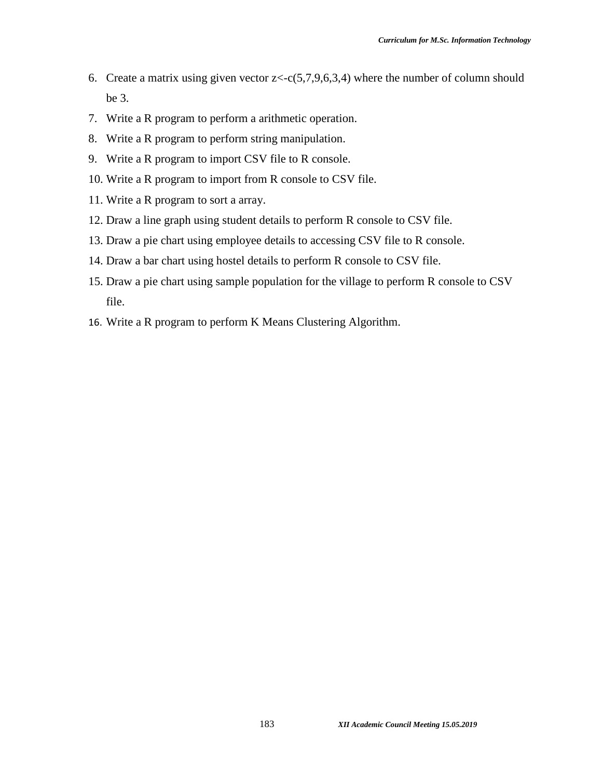- 6. Create a matrix using given vector  $z \leq c(5,7,9,6,3,4)$  where the number of column should be 3.
- 7. Write a R program to perform a arithmetic operation.
- 8. Write a R program to perform string manipulation.
- 9. Write a R program to import CSV file to R console.
- 10. Write a R program to import from R console to CSV file.
- 11. Write a R program to sort a array.
- 12. Draw a line graph using student details to perform R console to CSV file.
- 13. Draw a pie chart using employee details to accessing CSV file to R console.
- 14. Draw a bar chart using hostel details to perform R console to CSV file.
- 15. Draw a pie chart using sample population for the village to perform R console to CSV file.
- 16. Write a R program to perform K Means Clustering Algorithm.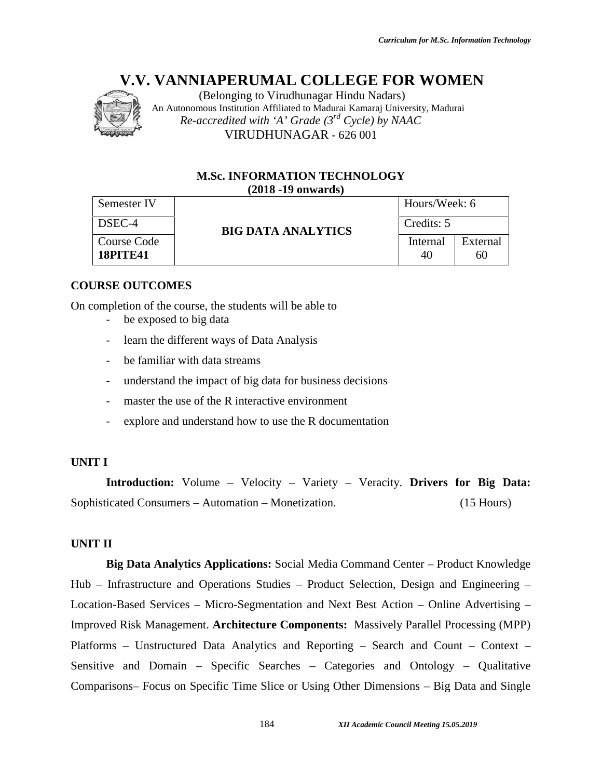

(Belonging to Virudhunagar Hindu Nadars) An Autonomous Institution Affiliated to Madurai Kamaraj University, Madurai *Re-accredited with 'A' Grade (3rd Cycle) by NAAC* VIRUDHUNAGAR - 626 001

#### **M.Sc. INFORMATION TECHNOLOGY (2018 -19 onwards)**

| Semester IV                    |                                                                                  | Hours/Week: 6  |                |
|--------------------------------|----------------------------------------------------------------------------------|----------------|----------------|
| DSEC-4                         | <b>BIG DATA ANALYTICS</b>                                                        | Credits: 5     |                |
| Course Code<br><b>18PITE41</b> |                                                                                  | Internal<br>40 | External<br>60 |
| <b>URSE OUTCOMES</b>           |                                                                                  |                |                |
|                                | completion of the course, the students will be able to<br>be exposed to big data |                |                |
| $\qquad \qquad \blacksquare$   | learn the different ways of Data Analysis                                        |                |                |
| $\overline{\phantom{a}}$       | be familiar with data streams                                                    |                |                |

## **COURSE OUTCOMES**

On completion of the course, the students will be able to

- be exposed to big data
- learn the different ways of Data Analysis
- be familiar with data streams
- understand the impact of big data for business decisions
- master the use of the R interactive environment
- explore and understand how to use the R documentation

#### **UNIT I**

**Introduction:** Volume – Velocity – Variety – Veracity. **Drivers for Big Data:** Sophisticated Consumers – Automation – Monetization. (15 Hours)

#### **UNIT II**

**Big Data Analytics Applications:** Social Media Command Center – Product Knowledge Hub – Infrastructure and Operations Studies – Product Selection, Design and Engineering – Location-Based Services – Micro-Segmentation and Next Best Action – Online Advertising – Improved Risk Management. **Architecture Components:** Massively Parallel Processing (MPP) Platforms – Unstructured Data Analytics and Reporting – Search and Count – Context – Sensitive and Domain – Specific Searches – Categories and Ontology – Qualitative Comparisons– Focus on Specific Time Slice or Using Other Dimensions – Big Data and Single *IBelonging to Virumbungent Hindu Nadars*<br> *IBelonging to Virumbung Hindu Nadarsi Kamaraj University, Madurai*<br> *2Ccredited with 'A' Grade (3<sup>rd</sup> Cycle) by NAAC<br>
VIRUDHUNAGAR - 626 001<br> M.Sc. INFORMATION TECHNOLOGY<br> 20* master the use of the R interactive environment<br> **Introduction:** Volume - Velocity - Variety - Veracity. **Drivers for Big Data:**<br>
Command Command Product Infrastructure and Operations: Social Media Command Center - Product k Management. **Architecture Components:** Massively Parallel Processing (MP<br>Unstructured Data Analytics and Reporting – Search and Count – Context<br>d Domain – Specific Searches – Categories and Ontology – Qualitati *15.05.2019*626 001of Analytics –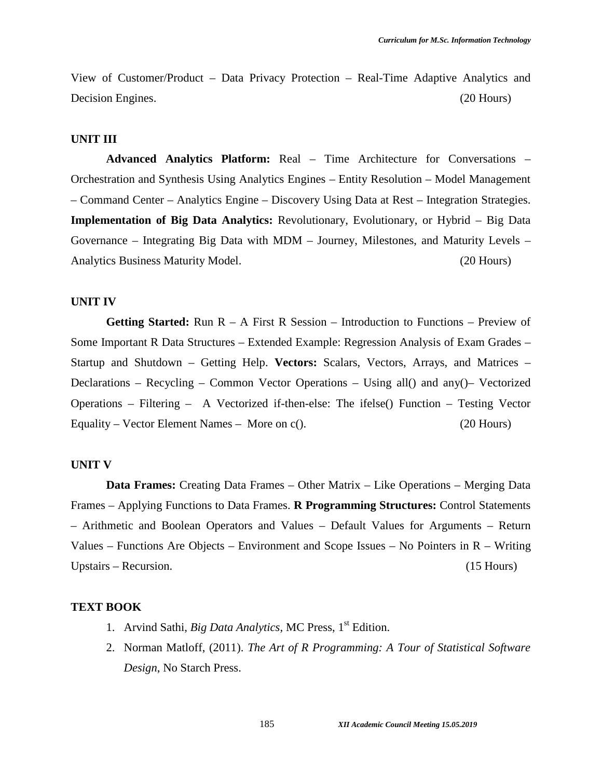View of Customer/Product – Data Privacy Protection – Real-Time Adaptive Analytics and Decision Engines. (20 Hours) (20 Hours)

#### **UNIT III**

**Advanced Analytics Platform:** Real – Time Architecture for Conversations – Orchestration and Synthesis Using Analytics Engines – Entity Resolution – Model Management – Command Center – Analytics Engine – Discovery Using Data at Rest – Integration Strategies. **Implementation of Big Data Analytics:** Revolutionary, Evolutionary, or Hybrid – Big Data Governance – Integrating Big Data with MDM – Journey, Milestones, and Maturity Levels – Analytics Business Maturity Model. (20 Hours)

#### **UNIT IV**

**Getting Started:** Run R – A First R Session – Introduction to Functions – Preview of Some Important R Data Structures – Extended Example: Regression Analysis of Exam Grades – Startup and Shutdown – Getting Help. **Vectors:** Scalars, Vectors, Arrays, and Matrices – Declarations – Recycling – Common Vector Operations – Using all() and any()– Vectorized Operations – Filtering – A Vectorized if-then-else: The ifelse() Function – Testing Vector Equality – Vector Element Names – More on c(). (20 Hours)

#### **UNIT V**

**Data Frames:** Creating Data Frames – Other Matrix – Like Operations – Merging Data Frames – Applying Functions to Data Frames. **R Programming Structures:** Control Statements – Arithmetic and Boolean Operators and Values – Default Values for Arguments – Return Values – Functions Are Objects – Environment and Scope Issues – No Pointers in  $R$  – Writing Upstairs – Recursion. (15 Hours) (15 Hours)

#### **TEXT BOOK**

- 1. Arvind Sathi, *Big Data Analytics,* MC Press, 1st Edition.
- 2. Norman Matloff, (2011). *The Art of R Programming: A Tour of Statistical Software Design*, No Starch Press.